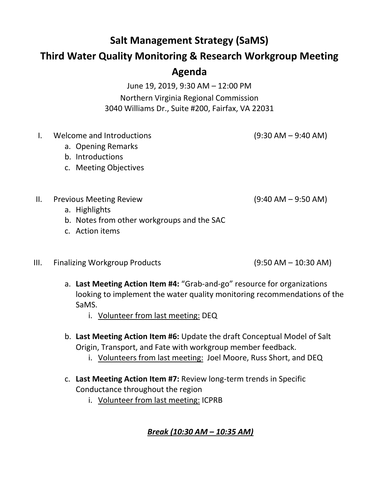## **Salt Management Strategy (SaMS)**

## **Third Water Quality Monitoring & Research Workgroup Meeting**

## **Agenda**

June 19, 2019, 9:30 AM – 12:00 PM Northern Virginia Regional Commission 3040 Williams Dr., Suite #200, Fairfax, VA 22031

I. Welcome and Introductions (9:30 AM – 9:40 AM)

- a. Opening Remarks
- b. Introductions
- c. Meeting Objectives

II. Previous Meeting Review (9:40 AM – 9:50 AM)

- a. Highlights
- b. Notes from other workgroups and the SAC
- c. Action items
- III. Finalizing Workgroup Products (9:50 AM 10:30 AM)

- a. **Last Meeting Action Item #4:** "Grab-and-go" resource for organizations looking to implement the water quality monitoring recommendations of the SaMS.
	- i. Volunteer from last meeting: DEQ
- b. **Last Meeting Action Item #6:** Update the draft Conceptual Model of Salt Origin, Transport, and Fate with workgroup member feedback.
	- i. Volunteers from last meeting: Joel Moore, Russ Short, and DEQ
- c. **Last Meeting Action Item #7:** Review long-term trends in Specific Conductance throughout the region
	- i. Volunteer from last meeting: ICPRB

## *Break (10:30 AM – 10:35 AM)*